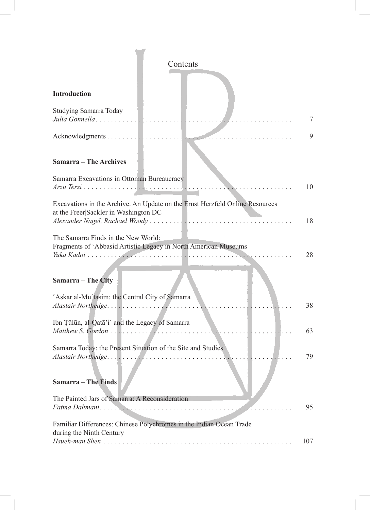| Contents                                                                                                              |     |
|-----------------------------------------------------------------------------------------------------------------------|-----|
| Introduction                                                                                                          |     |
| Studying Samarra Today<br>Julia Gonnella                                                                              | 7   |
|                                                                                                                       | 9   |
| <b>Samarra - The Archives</b>                                                                                         |     |
| Samarra Excavations in Ottoman Bureaucracy                                                                            | 10  |
| Excavations in the Archive. An Update on the Ernst Herzfeld Online Resources<br>at the Freer Sackler in Washington DC | 18  |
| The Samarra Finds in the New World:<br>Fragments of 'Abbasid Artistic Legacy in North American Museums                | 28  |
| Samarra - The City                                                                                                    |     |
| 'Askar al-Mu'tasim: the Central City of Samarra                                                                       | 38  |
| Ibn Țūlūn, al-Qatā'i` and the Legacy of Samarra                                                                       | 63  |
| Samarra Today: the Present Situation of the Site and Studies                                                          | 79  |
| <b>Samarra</b> - The Finds                                                                                            |     |
| The Painted Jars of Samarra: A Reconsideration<br>Fatma Dahmani                                                       | 95  |
| Familiar Differences: Chinese Polychromes in the Indian Ocean Trade<br>during the Ninth Century<br>Hsueh-man Shen     | 107 |